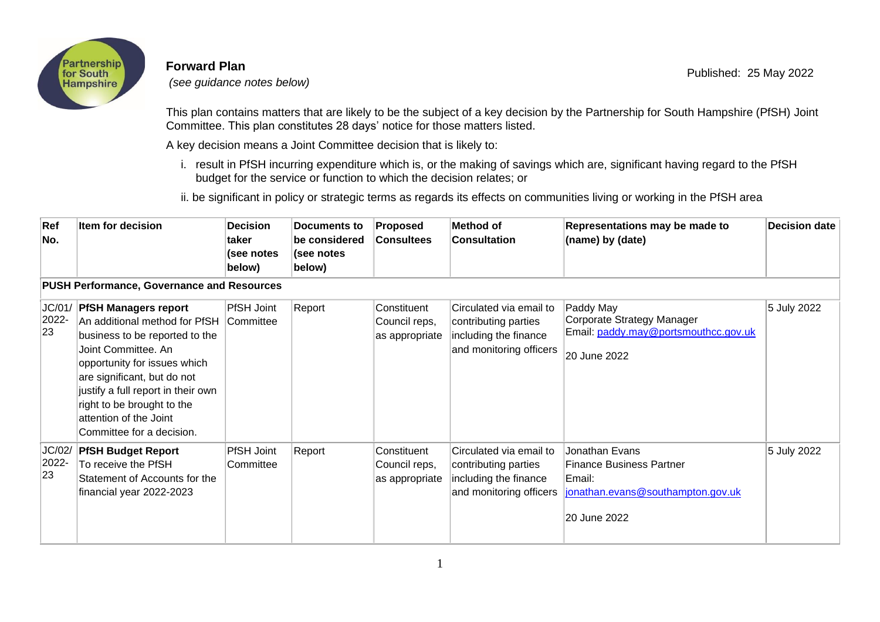

## **Forward Plan**

*(see guidance notes below)*

This plan contains matters that are likely to be the subject of a key decision by the Partnership for South Hampshire (PfSH) Joint Committee. This plan constitutes 28 days' notice for those matters listed.

A key decision means a Joint Committee decision that is likely to:

i. result in PfSH incurring expenditure which is, or the making of savings which are, significant having regard to the PfSH budget for the service or function to which the decision relates; or

ii. be significant in policy or strategic terms as regards its effects on communities living or working in the PfSH area

| Ref<br>No.                                        | Item for decision                                                                                                                                                                                                                                                                                               | <b>Decision</b><br><b>taker</b><br>(see notes<br>below) | Documents to<br>be considered<br>(see notes<br>below) | <b>Proposed</b><br><b>Consultees</b>           | Method of<br><b>Consultation</b>                                                                    | Representations may be made to<br>(name) by (date)                                                               | <b>Decision date</b> |  |  |  |  |  |
|---------------------------------------------------|-----------------------------------------------------------------------------------------------------------------------------------------------------------------------------------------------------------------------------------------------------------------------------------------------------------------|---------------------------------------------------------|-------------------------------------------------------|------------------------------------------------|-----------------------------------------------------------------------------------------------------|------------------------------------------------------------------------------------------------------------------|----------------------|--|--|--|--|--|
| <b>PUSH Performance, Governance and Resources</b> |                                                                                                                                                                                                                                                                                                                 |                                                         |                                                       |                                                |                                                                                                     |                                                                                                                  |                      |  |  |  |  |  |
| JC/01/<br>2022-<br>23                             | <b>PfSH Managers report</b><br>An additional method for PfSH<br>business to be reported to the<br>Joint Committee, An<br>opportunity for issues which<br>are significant, but do not<br>justify a full report in their own<br>right to be brought to the<br>attention of the Joint<br>Committee for a decision. | PfSH Joint<br>Committee                                 | Report                                                | Constituent<br>Council reps,<br>as appropriate | Circulated via email to<br>contributing parties<br>including the finance<br>and monitoring officers | Paddy May<br>Corporate Strategy Manager<br>Email: paddy.may@portsmouthcc.gov.uk<br>20 June 2022                  | 5 July 2022          |  |  |  |  |  |
| JC/02/<br>2022-<br>23                             | <b>PfSH Budget Report</b><br>To receive the PfSH<br>Statement of Accounts for the<br>financial year 2022-2023                                                                                                                                                                                                   | <b>PfSH Joint</b><br>Committee                          | Report                                                | Constituent<br>Council reps,<br>as appropriate | Circulated via email to<br>contributing parties<br>including the finance<br>and monitoring officers | Jonathan Evans<br><b>Finance Business Partner</b><br>Email:<br>jonathan.evans@southampton.gov.uk<br>20 June 2022 | 5 July 2022          |  |  |  |  |  |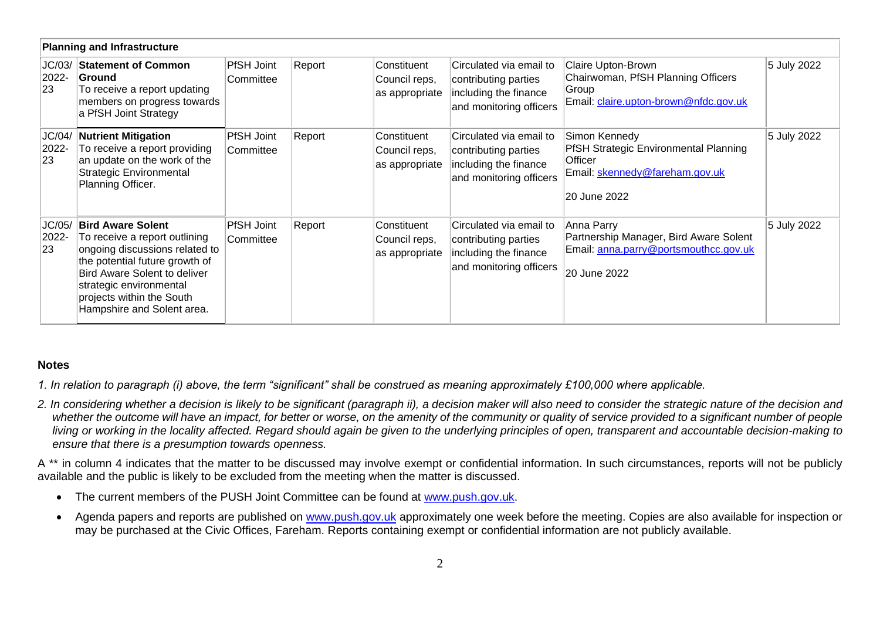| <b>Planning and Infrastructure</b> |                                                                                                                                                                                                                                                            |                         |        |                                                |                                                                                                     |                                                                                                                            |             |  |  |  |  |
|------------------------------------|------------------------------------------------------------------------------------------------------------------------------------------------------------------------------------------------------------------------------------------------------------|-------------------------|--------|------------------------------------------------|-----------------------------------------------------------------------------------------------------|----------------------------------------------------------------------------------------------------------------------------|-------------|--|--|--|--|
| JC/03/<br>2022-<br>23              | <b>Statement of Common</b><br>Ground<br>To receive a report updating<br>members on progress towards<br>a PfSH Joint Strategy                                                                                                                               | PfSH Joint<br>Committee | Report | Constituent<br>Council reps,<br>as appropriate | Circulated via email to<br>contributing parties<br>including the finance<br>and monitoring officers | Claire Upton-Brown<br>Chairwoman, PfSH Planning Officers<br>Group<br>Email: claire.upton-brown@nfdc.gov.uk                 | 5 July 2022 |  |  |  |  |
| JC/04/<br>2022-<br>23              | <b>Nutrient Mitigation</b><br>To receive a report providing<br>an update on the work of the<br><b>Strategic Environmental</b><br>Planning Officer.                                                                                                         | PfSH Joint<br>Committee | Report | Constituent<br>Council reps,<br>as appropriate | Circulated via email to<br>contributing parties<br>including the finance<br>and monitoring officers | Simon Kennedy<br><b>PfSH Strategic Environmental Planning</b><br>Officer<br>Email: skennedy@fareham.gov.uk<br>20 June 2022 | 5 July 2022 |  |  |  |  |
| JC/05/<br>2022-<br>23              | <b>Bird Aware Solent</b><br>To receive a report outlining<br>ongoing discussions related to<br>the potential future growth of<br><b>Bird Aware Solent to deliver</b><br>strategic environmental<br>projects within the South<br>Hampshire and Solent area. | PfSH Joint<br>Committee | Report | Constituent<br>Council reps,<br>as appropriate | Circulated via email to<br>contributing parties<br>including the finance<br>and monitoring officers | Anna Parry<br>Partnership Manager, Bird Aware Solent<br>Email: anna.parry@portsmouthcc.gov.uk<br>20 June 2022              | 5 July 2022 |  |  |  |  |

## **Notes**

*1. In relation to paragraph (i) above, the term "significant" shall be construed as meaning approximately £100,000 where applicable.* 

*2. In considering whether a decision is likely to be significant (paragraph ii), a decision maker will also need to consider the strategic nature of the decision and*  whether the outcome will have an impact, for better or worse, on the amenity of the community or quality of service provided to a significant number of people *living or working in the locality affected. Regard should again be given to the underlying principles of open, transparent and accountable decision-making to ensure that there is a presumption towards openness.*

A<sup>\*\*</sup> in column 4 indicates that the matter to be discussed may involve exempt or confidential information. In such circumstances, reports will not be publicly available and the public is likely to be excluded from the meeting when the matter is discussed.

- The current members of the PUSH Joint Committee can be found at [www.push.gov.uk.](http://www.push.gov.uk/)
- Agenda papers and reports are published on [www.push.gov.uk](http://www.push.gov.uk/) approximately one week before the meeting. Copies are also available for inspection or may be purchased at the Civic Offices, Fareham. Reports containing exempt or confidential information are not publicly available.